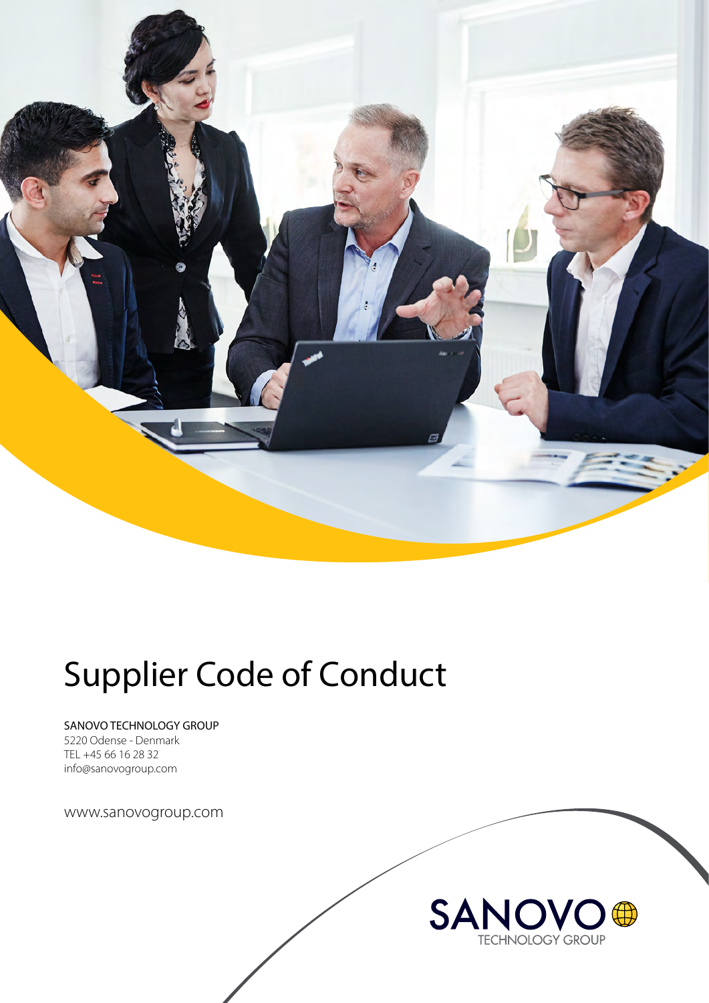

# Supplier Code of Conduct

SANOVO TECHNOLOGY GROUP

5220 Odense - Denmark TEL +45 66 16 28 32 info@sanovogroup.com

www.sanovogroup.com

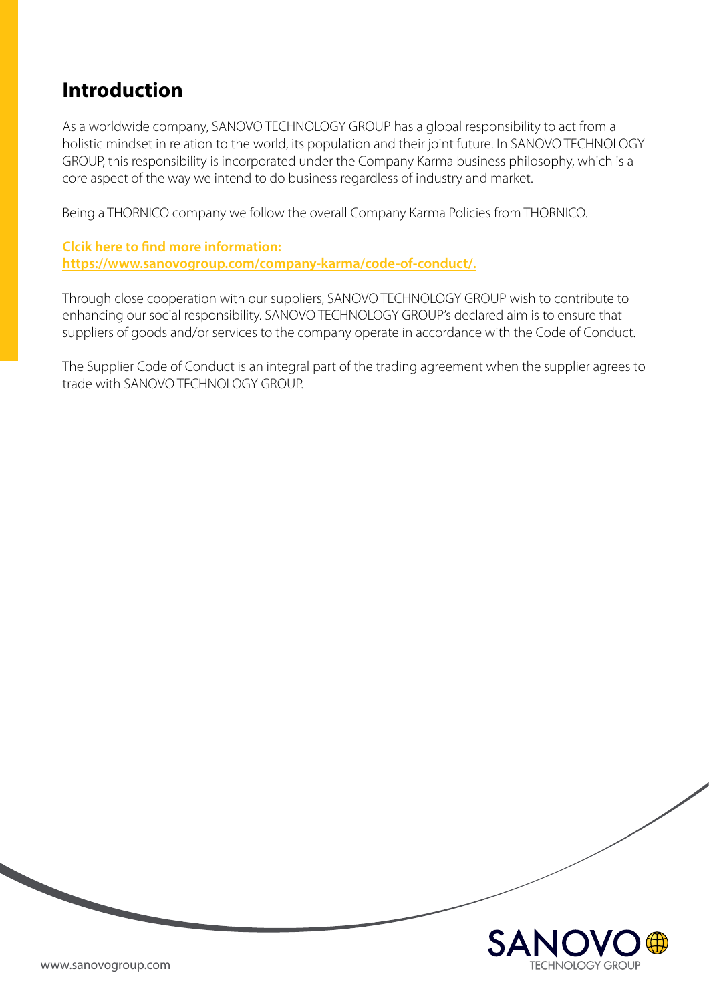# **Introduction**

As a worldwide company, SANOVO TECHNOLOGY GROUP has a global responsibility to act from a holistic mindset in relation to the world, its population and their joint future. In SANOVO TECHNOLOGY GROUP, this responsibility is incorporated under the Company Karma business philosophy, which is a core aspect of the way we intend to do business regardless of industry and market.

Being a THORNICO company we follow the overall Company Karma Policies from THORNICO.

**Clcik here to [find more information:](https://www.sanovogroup.com/company-karma/code-of-conduct/)  [https://www.sanovogroup.com/company-karma/code-of-conduct/.](https://www.sanovogroup.com/company-karma/code-of-conduct/)**

Through close cooperation with our suppliers, SANOVO TECHNOLOGY GROUP wish to contribute to enhancing our social responsibility. SANOVO TECHNOLOGY GROUP's declared aim is to ensure that suppliers of goods and/or services to the company operate in accordance with the Code of Conduct.

The Supplier Code of Conduct is an integral part of the trading agreement when the supplier agrees to trade with SANOVO TECHNOLOGY GROUP.

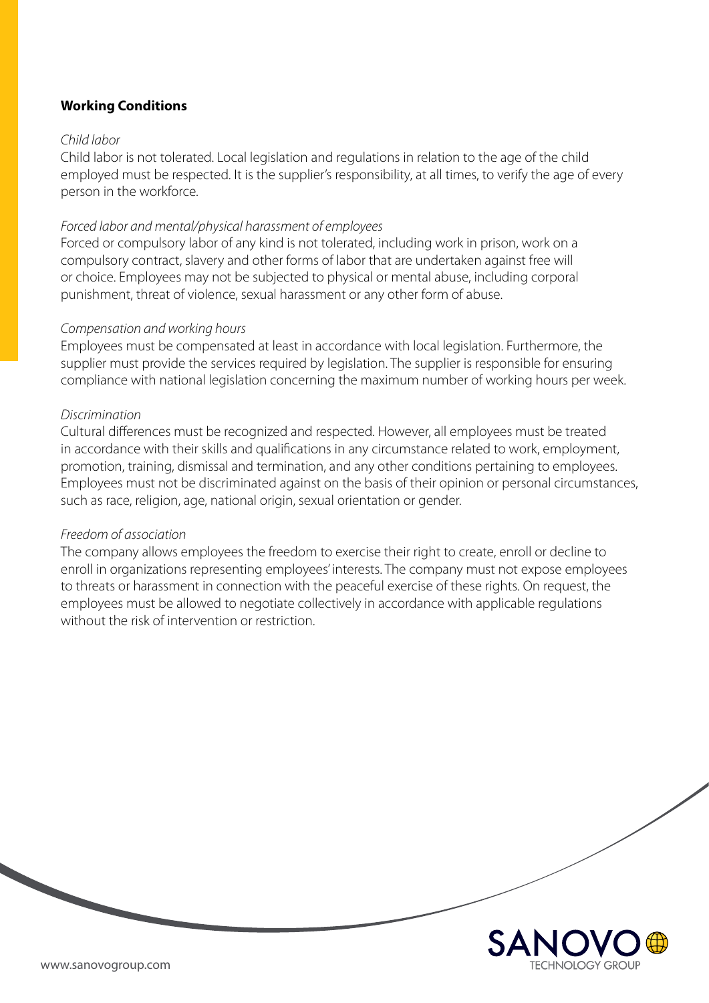# **Working Conditions**

#### *Child labor*

Child labor is not tolerated. Local legislation and regulations in relation to the age of the child employed must be respected. It is the supplier's responsibility, at all times, to verify the age of every person in the workforce.

#### *Forced labor and mental/physical harassment of employees*

Forced or compulsory labor of any kind is not tolerated, including work in prison, work on a compulsory contract, slavery and other forms of labor that are undertaken against free will or choice. Employees may not be subjected to physical or mental abuse, including corporal punishment, threat of violence, sexual harassment or any other form of abuse.

#### *Compensation and working hours*

Employees must be compensated at least in accordance with local legislation. Furthermore, the supplier must provide the services required by legislation. The supplier is responsible for ensuring compliance with national legislation concerning the maximum number of working hours per week.

#### *Discrimination*

Cultural differences must be recognized and respected. However, all employees must be treated in accordance with their skills and qualifications in any circumstance related to work, employment, promotion, training, dismissal and termination, and any other conditions pertaining to employees. Employees must not be discriminated against on the basis of their opinion or personal circumstances, such as race, religion, age, national origin, sexual orientation or gender.

#### *Freedom of association*

The company allows employees the freedom to exercise their right to create, enroll or decline to enroll in organizations representing employees' interests. The company must not expose employees to threats or harassment in connection with the peaceful exercise of these rights. On request, the employees must be allowed to negotiate collectively in accordance with applicable regulations without the risk of intervention or restriction.

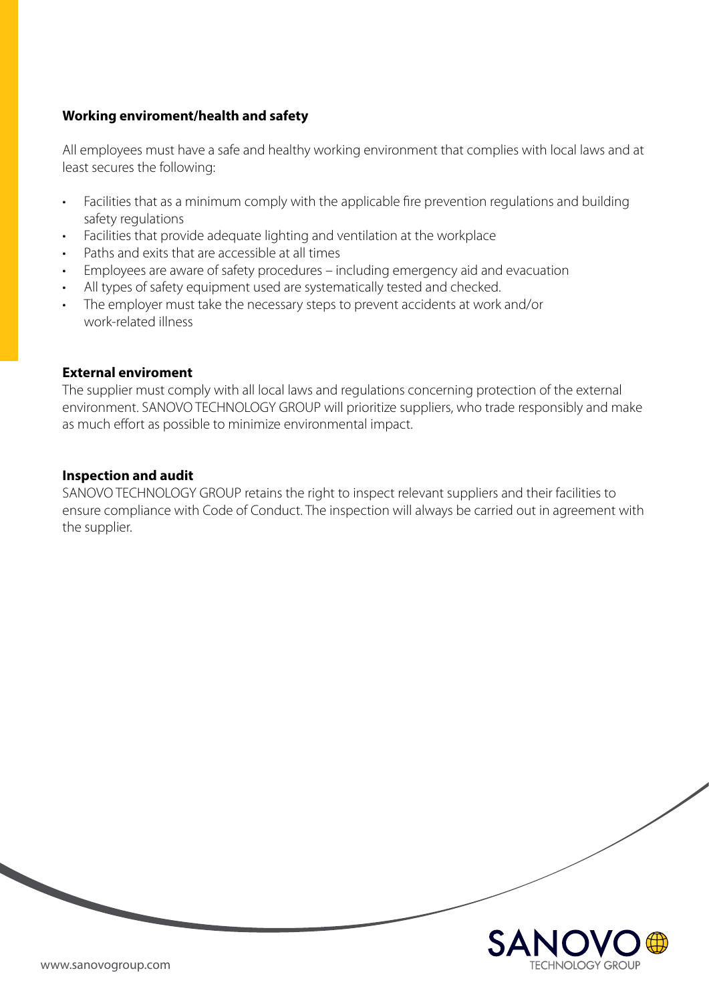# **Working enviroment/health and safety**

All employees must have a safe and healthy working environment that complies with local laws and at least secures the following:

- Facilities that as a minimum comply with the applicable fire prevention regulations and building safety regulations
- Facilities that provide adequate lighting and ventilation at the workplace
- Paths and exits that are accessible at all times
- Employees are aware of safety procedures including emergency aid and evacuation
- All types of safety equipment used are systematically tested and checked.
- The employer must take the necessary steps to prevent accidents at work and/or work-related illness

#### **External enviroment**

The supplier must comply with all local laws and regulations concerning protection of the external environment. SANOVO TECHNOLOGY GROUP will prioritize suppliers, who trade responsibly and make as much effort as possible to minimize environmental impact.

## **Inspection and audit**

SANOVO TECHNOLOGY GROUP retains the right to inspect relevant suppliers and their facilities to ensure compliance with Code of Conduct. The inspection will always be carried out in agreement with the supplier.